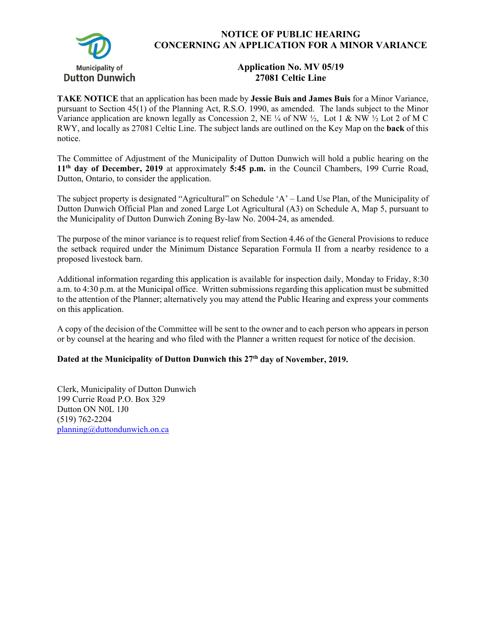

## **NOTICE OF PUBLIC HEARING CONCERNING AN APPLICATION FOR A MINOR VARIANCE**

## **Application No. MV 05/19 27081 Celtic Line**

**TAKE NOTICE** that an application has been made by **Jessie Buis and James Buis** for a Minor Variance, pursuant to Section 45(1) of the Planning Act, R.S.O. 1990, as amended. The lands subject to the Minor Variance application are known legally as Concession 2, NE  $\frac{1}{4}$  of NW  $\frac{1}{2}$ , Lot 1 & NW  $\frac{1}{2}$  Lot 2 of M C RWY, and locally as 27081 Celtic Line. The subject lands are outlined on the Key Map on the **back** of this notice.

The Committee of Adjustment of the Municipality of Dutton Dunwich will hold a public hearing on the **11th day of December, 2019** at approximately **5:45 p.m.** in the Council Chambers, 199 Currie Road, Dutton, Ontario, to consider the application.

The subject property is designated "Agricultural" on Schedule 'A' – Land Use Plan, of the Municipality of Dutton Dunwich Official Plan and zoned Large Lot Agricultural (A3) on Schedule A, Map 5, pursuant to the Municipality of Dutton Dunwich Zoning By-law No. 2004-24, as amended.

The purpose of the minor variance is to request relief from Section 4.46 of the General Provisions to reduce the setback required under the Minimum Distance Separation Formula II from a nearby residence to a proposed livestock barn.

Additional information regarding this application is available for inspection daily, Monday to Friday, 8:30 a.m. to 4:30 p.m. at the Municipal office. Written submissions regarding this application must be submitted to the attention of the Planner; alternatively you may attend the Public Hearing and express your comments on this application.

A copy of the decision of the Committee will be sent to the owner and to each person who appears in person or by counsel at the hearing and who filed with the Planner a written request for notice of the decision.

## Dated at the Municipality of Dutton Dunwich this 27<sup>th</sup> day of November, 2019.

Clerk, Municipality of Dutton Dunwich 199 Currie Road P.O. Box 329 Dutton ON N0L 1J0 (519) 762-2204 planning@duttondunwich.on.ca